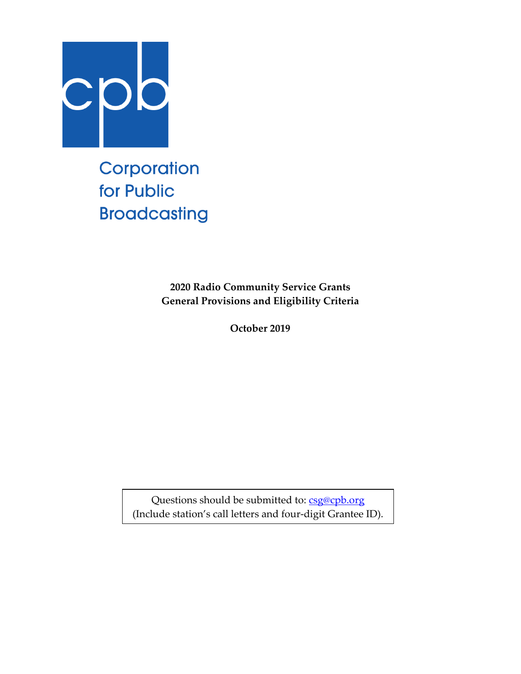

Corporation for Public **Broadcasting** 

> **2020 Radio Community Service Grants General Provisions and Eligibility Criteria**

> > **October 2019**

Questions should be submitted to: [csg@cpb.org](mailto:csg@cpb.org) (Include station's call letters and four-digit Grantee ID).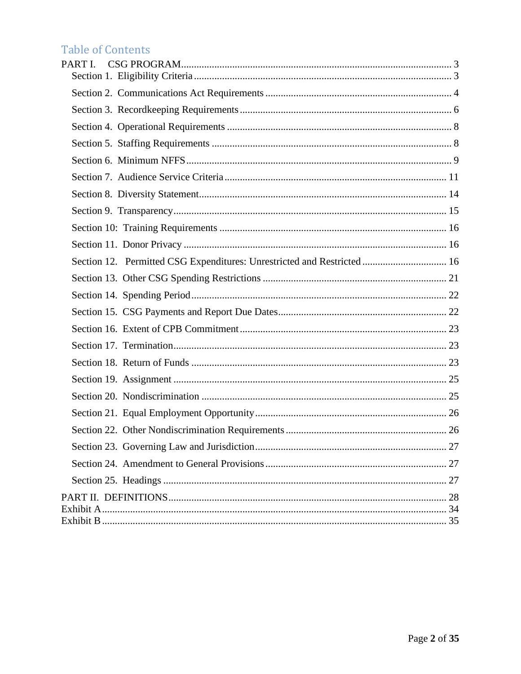# Table of Contents

| PART <sub>I</sub>                                                       |
|-------------------------------------------------------------------------|
|                                                                         |
|                                                                         |
|                                                                         |
|                                                                         |
|                                                                         |
|                                                                         |
|                                                                         |
|                                                                         |
|                                                                         |
|                                                                         |
| Section 12. Permitted CSG Expenditures: Unrestricted and Restricted  16 |
|                                                                         |
|                                                                         |
|                                                                         |
|                                                                         |
|                                                                         |
|                                                                         |
|                                                                         |
|                                                                         |
|                                                                         |
|                                                                         |
|                                                                         |
|                                                                         |
|                                                                         |
|                                                                         |
|                                                                         |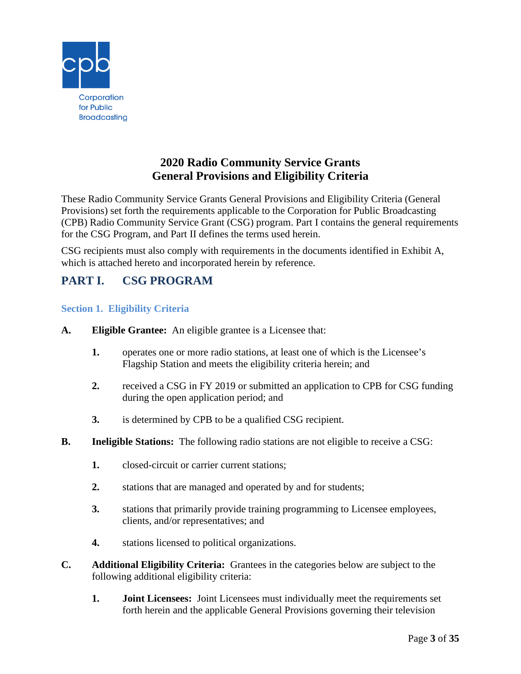

# **2020 Radio Community Service Grants General Provisions and Eligibility Criteria**

These Radio Community Service Grants General Provisions and Eligibility Criteria (General Provisions) set forth the requirements applicable to the Corporation for Public Broadcasting (CPB) Radio Community Service Grant (CSG) program. Part I contains the general requirements for the CSG Program, and Part II defines the terms used herein.

CSG recipients must also comply with requirements in the documents identified in Exhibit A, which is attached hereto and incorporated herein by reference.

# <span id="page-2-0"></span>**PART I. CSG PROGRAM**

# <span id="page-2-1"></span>**Section 1. Eligibility Criteria**

- **A. Eligible Grantee:** An eligible grantee is a Licensee that:
	- **1.** operates one or more radio stations, at least one of which is the Licensee's Flagship Station and meets the eligibility criteria herein; and
	- **2.** received a CSG in FY 2019 or submitted an application to CPB for CSG funding during the open application period; and
	- **3.** is determined by CPB to be a qualified CSG recipient.
- **B. Ineligible Stations:** The following radio stations are not eligible to receive a CSG:
	- **1.** closed-circuit or carrier current stations;
	- **2.** stations that are managed and operated by and for students;
	- **3.** stations that primarily provide training programming to Licensee employees, clients, and/or representatives; and
	- **4.** stations licensed to political organizations.
- **C. Additional Eligibility Criteria:** Grantees in the categories below are subject to the following additional eligibility criteria:
	- **1. Joint Licensees:** Joint Licensees must individually meet the requirements set forth herein and the applicable General Provisions governing their television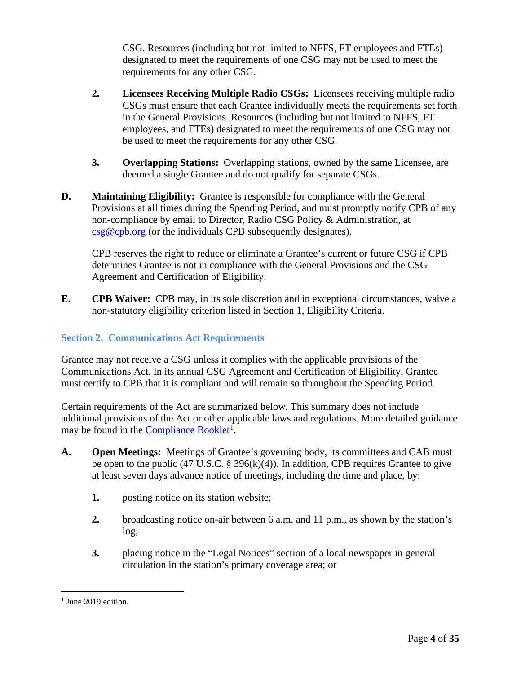CSG. Resources (including but not limited to NFFS, FT employees and FTEs) designated to meet the requirements of one CSG may not be used to meet the requirements for any other CSG.

- **2. Licensees Receiving Multiple Radio CSGs:** Licensees receiving multiple radio CSGs must ensure that each Grantee individually meets the requirements set forth in the General Provisions. Resources (including but not limited to NFFS, FT employees, and FTEs) designated to meet the requirements of one CSG may not be used to meet the requirements for any other CSG.
- **3. Overlapping Stations:** Overlapping stations, owned by the same Licensee, are deemed a single Grantee and do not qualify for separate CSGs.
- **D. Maintaining Eligibility:** Grantee is responsible for compliance with the General Provisions at all times during the Spending Period, and must promptly notify CPB of any non-compliance by email to Director, Radio CSG Policy & Administration, at [csg@cpb.org](mailto:csg@cpb.org) (or the individuals CPB subsequently designates).

CPB reserves the right to reduce or eliminate a Grantee's current or future CSG if CPB determines Grantee is not in compliance with the General Provisions and the CSG Agreement and Certification of Eligibility.

**E. CPB Waiver:** CPB may, in its sole discretion and in exceptional circumstances, waive a non-statutory eligibility criterion listed in Section 1, Eligibility Criteria.

### <span id="page-3-0"></span>**Section 2. Communications Act Requirements**

Grantee may not receive a CSG unless it complies with the applicable provisions of the Communications Act. In its annual CSG Agreement and Certification of Eligibility, Grantee must certify to CPB that it is compliant and will remain so throughout the Spending Period.

Certain requirements of the Act are summarized below. This summary does not include additional provisions of the Act or other applicable laws and regulations. More detailed guidance may be found in the **Compliance Booklet**<sup>[1](#page-3-1)</sup>.

- **A. Open Meetings:** Meetings of Grantee's governing body, its committees and CAB must be open to the public  $(47 \text{ U.S.C. } § 396(k)(4))$ . In addition, CPB requires Grantee to give at least seven days advance notice of meetings, including the time and place, by:
	- **1.** posting notice on its station website;
	- **2.** broadcasting notice on-air between 6 a.m. and 11 p.m., as shown by the station's log;
	- **3.** placing notice in the "Legal Notices" section of a local newspaper in general circulation in the station's primary coverage area; or

<span id="page-3-1"></span> $<sup>1</sup>$  June 2019 edition.</sup>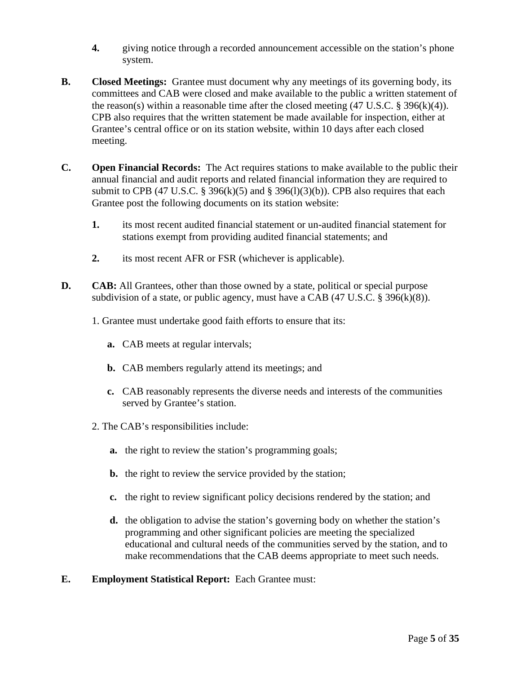- **4.** giving notice through a recorded announcement accessible on the station's phone system.
- **B. Closed Meetings:** Grantee must document why any meetings of its governing body, its committees and CAB were closed and make available to the public a written statement of the reason(s) within a reasonable time after the closed meeting  $(47 \text{ U.S.C.} \text{ } \text{\$ } 396(k)(4))$ . CPB also requires that the written statement be made available for inspection, either at Grantee's central office or on its station website, within 10 days after each closed meeting.
- **C. Open Financial Records:** The Act requires stations to make available to the public their annual financial and audit reports and related financial information they are required to submit to CPB (47 U.S.C. § 396(k)(5) and § 396(l)(3)(b)). CPB also requires that each Grantee post the following documents on its station website:
	- **1.** its most recent audited financial statement or un-audited financial statement for stations exempt from providing audited financial statements; and
	- **2.** its most recent AFR or FSR (whichever is applicable).
- **D. CAB:** All Grantees, other than those owned by a state, political or special purpose subdivision of a state, or public agency, must have a CAB (47 U.S.C. § 396(k)(8)).
	- 1. Grantee must undertake good faith efforts to ensure that its:
		- **a.** CAB meets at regular intervals;
		- **b.** CAB members regularly attend its meetings; and
		- **c.** CAB reasonably represents the diverse needs and interests of the communities served by Grantee's station.
	- 2. The CAB's responsibilities include:
		- **a.** the right to review the station's programming goals;
		- **b.** the right to review the service provided by the station;
		- **c.** the right to review significant policy decisions rendered by the station; and
		- **d.** the obligation to advise the station's governing body on whether the station's programming and other significant policies are meeting the specialized educational and cultural needs of the communities served by the station, and to make recommendations that the CAB deems appropriate to meet such needs.
- **E. Employment Statistical Report:** Each Grantee must: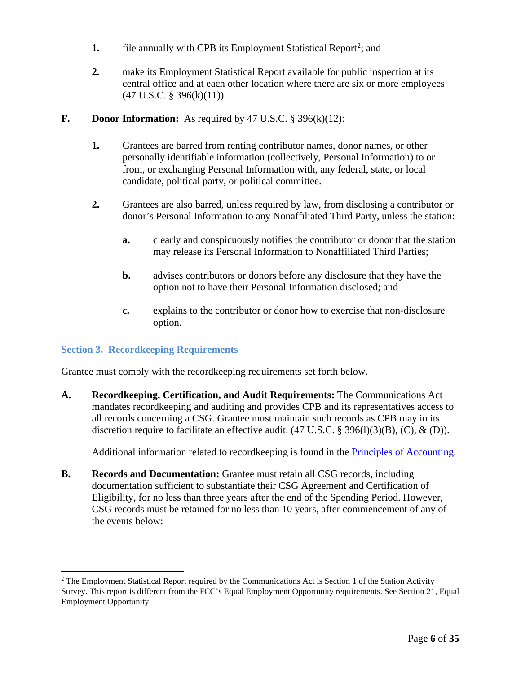- **1.** file annually with CPB its Employment Statistical Report<sup>[2](#page-5-1)</sup>; and
- **2.** make its Employment Statistical Report available for public inspection at its central office and at each other location where there are six or more employees  $(47 \text{ U.S.C. }$ § 396(k) $(11)$ ).

#### **F. Donor Information:** As required by 47 U.S.C. § 396(k)(12):

- **1.** Grantees are barred from renting contributor names, donor names, or other personally identifiable information (collectively, Personal Information) to or from, or exchanging Personal Information with, any federal, state, or local candidate, political party, or political committee.
- **2.** Grantees are also barred, unless required by law, from disclosing a contributor or donor's Personal Information to any Nonaffiliated Third Party, unless the station:
	- **a.** clearly and conspicuously notifies the contributor or donor that the station may release its Personal Information to Nonaffiliated Third Parties;
	- **b.** advises contributors or donors before any disclosure that they have the option not to have their Personal Information disclosed; and
	- **c.** explains to the contributor or donor how to exercise that non-disclosure option.

#### <span id="page-5-0"></span>**Section 3. Recordkeeping Requirements**

Grantee must comply with the recordkeeping requirements set forth below.

**A. Recordkeeping, Certification, and Audit Requirements:** The Communications Act mandates recordkeeping and auditing and provides CPB and its representatives access to all records concerning a CSG. Grantee must maintain such records as CPB may in its discretion require to facilitate an effective audit.  $(47 \text{ U.S.C.} \text{ } \$ \text{ } 396(1)(3)(B), (C), \text{ } \& \text{ } (D)).$ 

Additional information related to recordkeeping is found in the *Principles of Accounting*.

**B. Records and Documentation:** Grantee must retain all CSG records, including documentation sufficient to substantiate their CSG Agreement and Certification of Eligibility, for no less than three years after the end of the Spending Period. However, CSG records must be retained for no less than 10 years, after commencement of any of the events below:

<span id="page-5-1"></span><sup>&</sup>lt;sup>2</sup> The Employment Statistical Report required by the Communications Act is Section 1 of the Station Activity Survey. This report is different from the FCC's Equal Employment Opportunity requirements. See Section 21, Equal Employment Opportunity.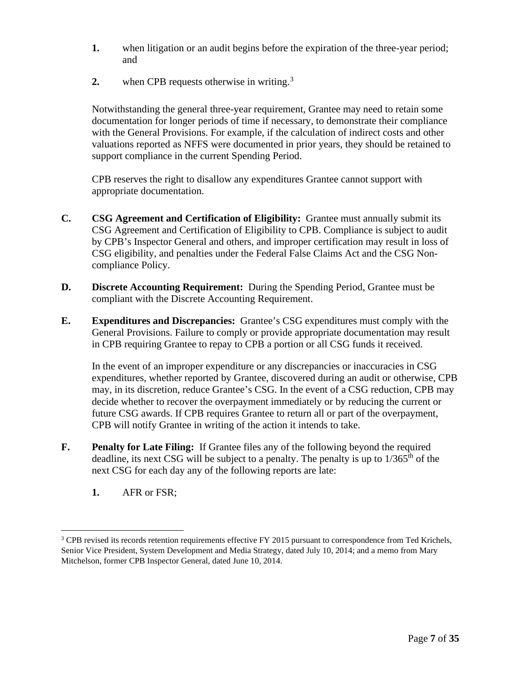- **1.** when litigation or an audit begins before the expiration of the three-year period; and
- **2.** when CPB requests otherwise in writing.<sup>[3](#page-6-0)</sup>

Notwithstanding the general three-year requirement, Grantee may need to retain some documentation for longer periods of time if necessary, to demonstrate their compliance with the General Provisions. For example, if the calculation of indirect costs and other valuations reported as NFFS were documented in prior years, they should be retained to support compliance in the current Spending Period.

CPB reserves the right to disallow any expenditures Grantee cannot support with appropriate documentation.

- **C. CSG Agreement and Certification of Eligibility:** Grantee must annually submit its CSG Agreement and Certification of Eligibility to CPB. Compliance is subject to audit by CPB's Inspector General and others, and improper certification may result in loss of CSG eligibility, and penalties under the Federal False Claims Act and the CSG Noncompliance Policy.
- **D. Discrete Accounting Requirement:** During the Spending Period, Grantee must be compliant with the Discrete Accounting Requirement.
- **E. Expenditures and Discrepancies:** Grantee's CSG expenditures must comply with the General Provisions. Failure to comply or provide appropriate documentation may result in CPB requiring Grantee to repay to CPB a portion or all CSG funds it received.

In the event of an improper expenditure or any discrepancies or inaccuracies in CSG expenditures, whether reported by Grantee, discovered during an audit or otherwise, CPB may, in its discretion, reduce Grantee's CSG. In the event of a CSG reduction, CPB may decide whether to recover the overpayment immediately or by reducing the current or future CSG awards. If CPB requires Grantee to return all or part of the overpayment, CPB will notify Grantee in writing of the action it intends to take.

- **F. Penalty for Late Filing:** If Grantee files any of the following beyond the required deadline, its next CSG will be subject to a penalty. The penalty is up to  $1/365<sup>th</sup>$  of the next CSG for each day any of the following reports are late:
	- **1.** AFR or FSR;

<span id="page-6-0"></span><sup>&</sup>lt;sup>3</sup> CPB revised its records retention requirements effective FY 2015 pursuant to correspondence from Ted Krichels, Senior Vice President, System Development and Media Strategy, dated July 10, 2014; and a memo from Mary Mitchelson, former CPB Inspector General, dated June 10, 2014.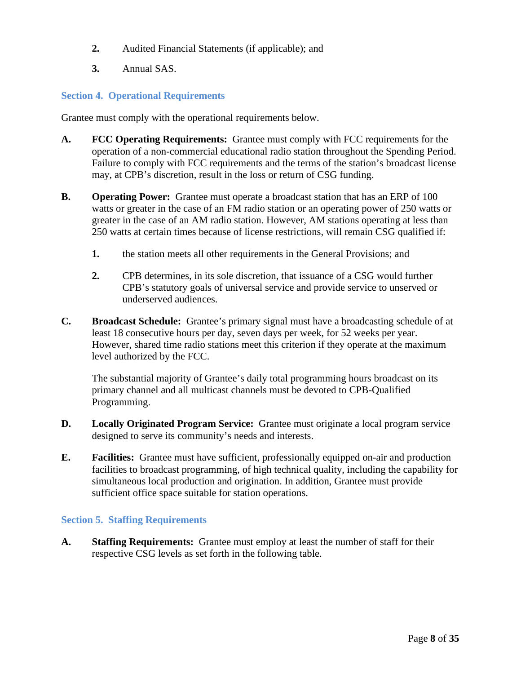- **2.** Audited Financial Statements (if applicable); and
- **3.** Annual SAS.

#### <span id="page-7-0"></span>**Section 4. Operational Requirements**

Grantee must comply with the operational requirements below.

- **A. FCC Operating Requirements:** Grantee must comply with FCC requirements for the operation of a non-commercial educational radio station throughout the Spending Period. Failure to comply with FCC requirements and the terms of the station's broadcast license may, at CPB's discretion, result in the loss or return of CSG funding.
- **B. Operating Power:** Grantee must operate a broadcast station that has an ERP of 100 watts or greater in the case of an FM radio station or an operating power of 250 watts or greater in the case of an AM radio station. However, AM stations operating at less than 250 watts at certain times because of license restrictions, will remain CSG qualified if:
	- **1.** the station meets all other requirements in the General Provisions; and
	- **2.** CPB determines, in its sole discretion, that issuance of a CSG would further CPB's statutory goals of universal service and provide service to unserved or underserved audiences.
- **C. Broadcast Schedule:** Grantee's primary signal must have a broadcasting schedule of at least 18 consecutive hours per day, seven days per week, for 52 weeks per year. However, shared time radio stations meet this criterion if they operate at the maximum level authorized by the FCC.

The substantial majority of Grantee's daily total programming hours broadcast on its primary channel and all multicast channels must be devoted to CPB-Qualified Programming.

- **D. Locally Originated Program Service:** Grantee must originate a local program service designed to serve its community's needs and interests.
- **E. Facilities:** Grantee must have sufficient, professionally equipped on-air and production facilities to broadcast programming, of high technical quality, including the capability for simultaneous local production and origination. In addition, Grantee must provide sufficient office space suitable for station operations.

#### <span id="page-7-1"></span>**Section 5. Staffing Requirements**

**A. Staffing Requirements:** Grantee must employ at least the number of staff for their respective CSG levels as set forth in the following table.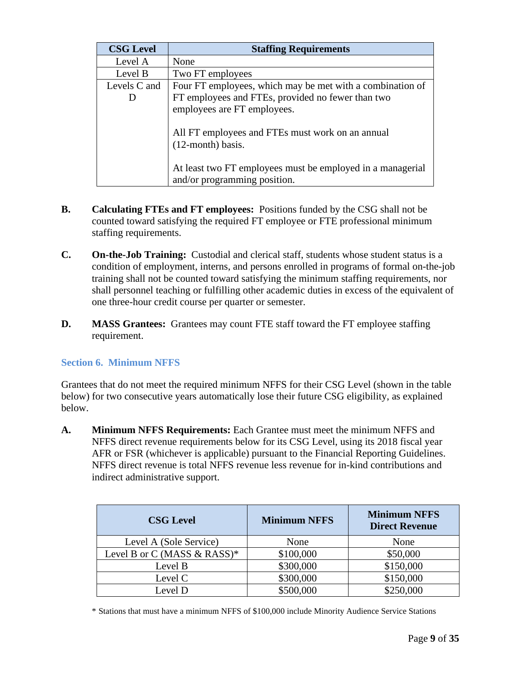| <b>CSG Level</b> | <b>Staffing Requirements</b>                                                               |  |  |  |  |  |
|------------------|--------------------------------------------------------------------------------------------|--|--|--|--|--|
| Level A          | None                                                                                       |  |  |  |  |  |
| Level B          | Two FT employees                                                                           |  |  |  |  |  |
| Levels C and     | Four FT employees, which may be met with a combination of                                  |  |  |  |  |  |
|                  | FT employees and FTEs, provided no fewer than two                                          |  |  |  |  |  |
|                  | employees are FT employees.                                                                |  |  |  |  |  |
|                  | All FT employees and FTEs must work on an annual<br>$(12$ -month) basis.                   |  |  |  |  |  |
|                  | At least two FT employees must be employed in a managerial<br>and/or programming position. |  |  |  |  |  |

- **B. Calculating FTEs and FT employees:** Positions funded by the CSG shall not be counted toward satisfying the required FT employee or FTE professional minimum staffing requirements.
- **C. On-the-Job Training:** Custodial and clerical staff, students whose student status is a condition of employment, interns, and persons enrolled in programs of formal on-the-job training shall not be counted toward satisfying the minimum staffing requirements, nor shall personnel teaching or fulfilling other academic duties in excess of the equivalent of one three-hour credit course per quarter or semester.
- **D. MASS Grantees:** Grantees may count FTE staff toward the FT employee staffing requirement.

### <span id="page-8-0"></span>**Section 6. Minimum NFFS**

Grantees that do not meet the required minimum NFFS for their CSG Level (shown in the table below) for two consecutive years automatically lose their future CSG eligibility, as explained below.

**A. Minimum NFFS Requirements:** Each Grantee must meet the minimum NFFS and NFFS direct revenue requirements below for its CSG Level, using its 2018 fiscal year AFR or FSR (whichever is applicable) pursuant to the Financial Reporting Guidelines. NFFS direct revenue is total NFFS revenue less revenue for in-kind contributions and indirect administrative support.

| <b>CSG Level</b>            | <b>Minimum NFFS</b> | <b>Minimum NFFS</b><br><b>Direct Revenue</b> |  |
|-----------------------------|---------------------|----------------------------------------------|--|
| Level A (Sole Service)      | None                | None                                         |  |
| Level B or C (MASS & RASS)* | \$100,000           | \$50,000                                     |  |
| Level B                     | \$300,000           | \$150,000                                    |  |
| Level C                     | \$300,000           | \$150,000                                    |  |
| Level D                     | \$500,000           | \$250,000                                    |  |

\* Stations that must have a minimum NFFS of \$100,000 include Minority Audience Service Stations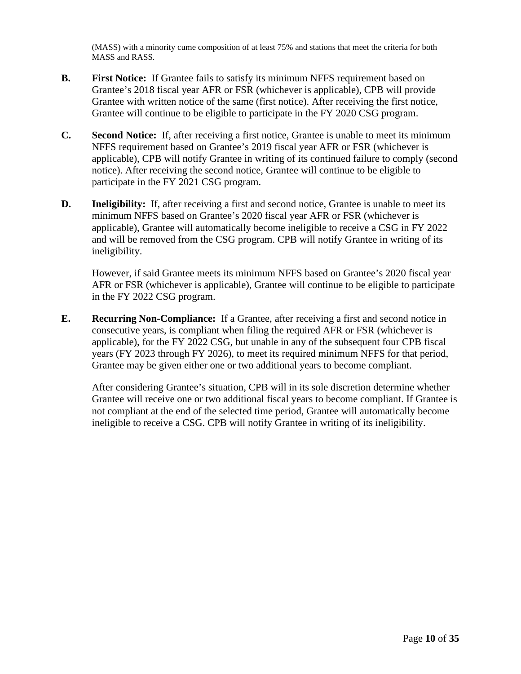(MASS) with a minority cume composition of at least 75% and stations that meet the criteria for both MASS and RASS.

- **B. First Notice:** If Grantee fails to satisfy its minimum NFFS requirement based on Grantee's 2018 fiscal year AFR or FSR (whichever is applicable), CPB will provide Grantee with written notice of the same (first notice). After receiving the first notice, Grantee will continue to be eligible to participate in the FY 2020 CSG program.
- **C. Second Notice:** If, after receiving a first notice, Grantee is unable to meet its minimum NFFS requirement based on Grantee's 2019 fiscal year AFR or FSR (whichever is applicable), CPB will notify Grantee in writing of its continued failure to comply (second notice). After receiving the second notice, Grantee will continue to be eligible to participate in the FY 2021 CSG program.
- **D. Ineligibility:** If, after receiving a first and second notice, Grantee is unable to meet its minimum NFFS based on Grantee's 2020 fiscal year AFR or FSR (whichever is applicable), Grantee will automatically become ineligible to receive a CSG in FY 2022 and will be removed from the CSG program. CPB will notify Grantee in writing of its ineligibility.

However, if said Grantee meets its minimum NFFS based on Grantee's 2020 fiscal year AFR or FSR (whichever is applicable), Grantee will continue to be eligible to participate in the FY 2022 CSG program.

**E. Recurring Non-Compliance:** If a Grantee, after receiving a first and second notice in consecutive years, is compliant when filing the required AFR or FSR (whichever is applicable), for the FY 2022 CSG, but unable in any of the subsequent four CPB fiscal years (FY 2023 through FY 2026), to meet its required minimum NFFS for that period, Grantee may be given either one or two additional years to become compliant.

After considering Grantee's situation, CPB will in its sole discretion determine whether Grantee will receive one or two additional fiscal years to become compliant. If Grantee is not compliant at the end of the selected time period, Grantee will automatically become ineligible to receive a CSG. CPB will notify Grantee in writing of its ineligibility.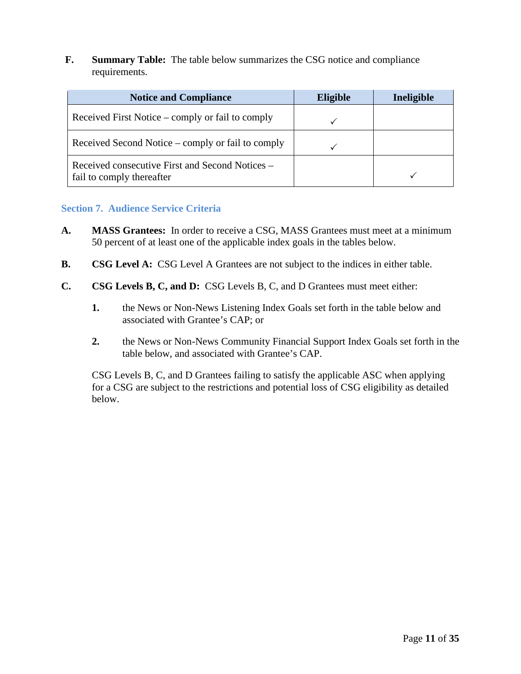**F. Summary Table:** The table below summarizes the CSG notice and compliance requirements.

| <b>Notice and Compliance</b>                                                 | <b>Eligible</b> | Ineligible |
|------------------------------------------------------------------------------|-----------------|------------|
| Received First Notice – comply or fail to comply                             |                 |            |
| Received Second Notice – comply or fail to comply                            |                 |            |
| Received consecutive First and Second Notices –<br>fail to comply thereafter |                 |            |

#### <span id="page-10-0"></span>**Section 7. Audience Service Criteria**

- **A. MASS Grantees:** In order to receive a CSG, MASS Grantees must meet at a minimum 50 percent of at least one of the applicable index goals in the tables below.
- **B. CSG Level A:** CSG Level A Grantees are not subject to the indices in either table.
- **C. CSG Levels B, C, and D:** CSG Levels B, C, and D Grantees must meet either:
	- **1.** the News or Non-News Listening Index Goals set forth in the table below and associated with Grantee's CAP; or
	- **2.** the News or Non-News Community Financial Support Index Goals set forth in the table below, and associated with Grantee's CAP.

CSG Levels B, C, and D Grantees failing to satisfy the applicable ASC when applying for a CSG are subject to the restrictions and potential loss of CSG eligibility as detailed below.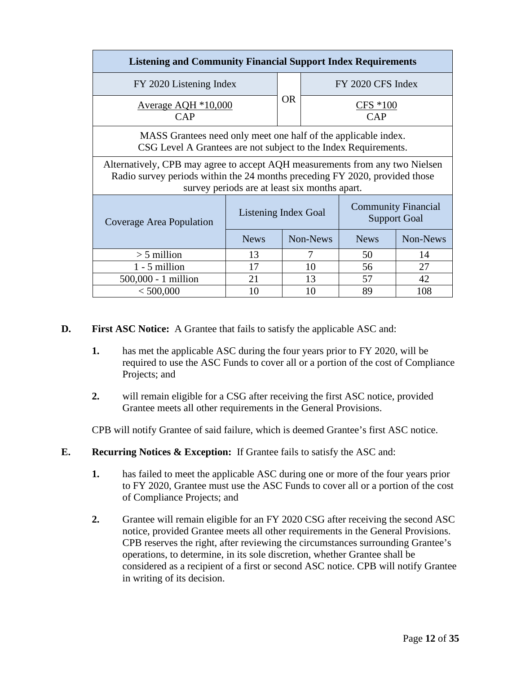| <b>Listening and Community Financial Support Index Requirements</b>                                                                                                                                          |                                                   |  |          |                    |          |  |
|--------------------------------------------------------------------------------------------------------------------------------------------------------------------------------------------------------------|---------------------------------------------------|--|----------|--------------------|----------|--|
| FY 2020 Listening Index                                                                                                                                                                                      |                                                   |  |          | FY 2020 CFS Index  |          |  |
| Average AQH $*10,000$<br>CAP                                                                                                                                                                                 |                                                   |  |          | $CFS * 100$<br>CAP |          |  |
| MASS Grantees need only meet one half of the applicable index.<br>CSG Level A Grantees are not subject to the Index Requirements.                                                                            |                                                   |  |          |                    |          |  |
| Alternatively, CPB may agree to accept AQH measurements from any two Nielsen<br>Radio survey periods within the 24 months preceding FY 2020, provided those<br>survey periods are at least six months apart. |                                                   |  |          |                    |          |  |
| Coverage Area Population                                                                                                                                                                                     | <b>Community Financial</b><br><b>Support Goal</b> |  |          |                    |          |  |
|                                                                                                                                                                                                              | <b>News</b>                                       |  | Non-News | <b>News</b>        | Non-News |  |
| $>$ 5 million                                                                                                                                                                                                | 13                                                |  | 7        | 50                 | 14       |  |
| $1 - 5$ million                                                                                                                                                                                              | 17                                                |  | 10       | 56                 | 27       |  |
| 500,000 - 1 million                                                                                                                                                                                          | 21                                                |  | 13       | 57                 | 42       |  |
| < 500,000                                                                                                                                                                                                    | 10                                                |  | 10       | 89                 | 108      |  |

- **D. First ASC Notice:** A Grantee that fails to satisfy the applicable ASC and:
	- **1.** has met the applicable ASC during the four years prior to FY 2020, will be required to use the ASC Funds to cover all or a portion of the cost of Compliance Projects; and
	- **2.** will remain eligible for a CSG after receiving the first ASC notice, provided Grantee meets all other requirements in the General Provisions.

CPB will notify Grantee of said failure, which is deemed Grantee's first ASC notice.

- **E. Recurring Notices & Exception:** If Grantee fails to satisfy the ASC and:
	- **1.** has failed to meet the applicable ASC during one or more of the four years prior to FY 2020, Grantee must use the ASC Funds to cover all or a portion of the cost of Compliance Projects; and
	- **2.** Grantee will remain eligible for an FY 2020 CSG after receiving the second ASC notice, provided Grantee meets all other requirements in the General Provisions. CPB reserves the right, after reviewing the circumstances surrounding Grantee's operations, to determine, in its sole discretion, whether Grantee shall be considered as a recipient of a first or second ASC notice. CPB will notify Grantee in writing of its decision.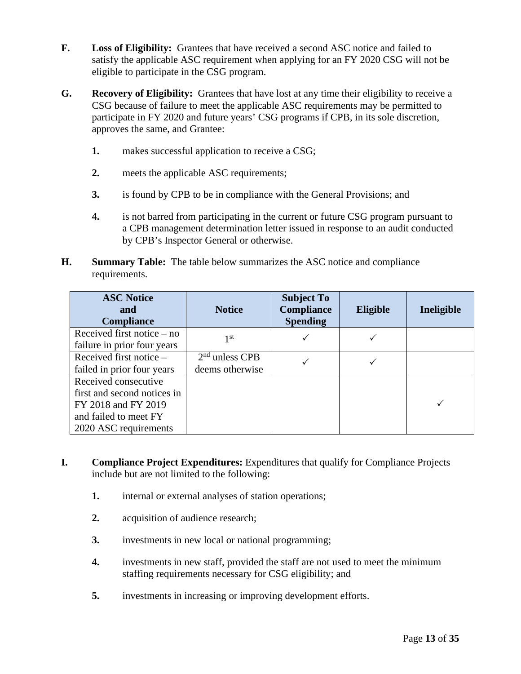- **F. Loss of Eligibility:** Grantees that have received a second ASC notice and failed to satisfy the applicable ASC requirement when applying for an FY 2020 CSG will not be eligible to participate in the CSG program.
- **G. Recovery of Eligibility:** Grantees that have lost at any time their eligibility to receive a CSG because of failure to meet the applicable ASC requirements may be permitted to participate in FY 2020 and future years' CSG programs if CPB, in its sole discretion, approves the same, and Grantee:
	- **1.** makes successful application to receive a CSG;
	- **2.** meets the applicable ASC requirements;
	- **3.** is found by CPB to be in compliance with the General Provisions; and
	- **4.** is not barred from participating in the current or future CSG program pursuant to a CPB management determination letter issued in response to an audit conducted by CPB's Inspector General or otherwise.
- **H. Summary Table:** The table below summarizes the ASC notice and compliance requirements.

| <b>ASC Notice</b><br>and<br><b>Compliance</b>                                                                                | <b>Notice</b>                       | <b>Subject To</b><br><b>Compliance</b><br><b>Spending</b> | <b>Eligible</b> | Ineligible |
|------------------------------------------------------------------------------------------------------------------------------|-------------------------------------|-----------------------------------------------------------|-----------------|------------|
| Received first notice $-$ no<br>failure in prior four years                                                                  | 1 st                                |                                                           |                 |            |
| Received first notice –<br>failed in prior four years                                                                        | $2nd$ unless CPB<br>deems otherwise |                                                           |                 |            |
| Received consecutive<br>first and second notices in<br>FY 2018 and FY 2019<br>and failed to meet FY<br>2020 ASC requirements |                                     |                                                           |                 |            |

- **I. Compliance Project Expenditures:** Expenditures that qualify for Compliance Projects include but are not limited to the following:
	- **1.** internal or external analyses of station operations;
	- **2.** acquisition of audience research;
	- **3.** investments in new local or national programming;
	- **4.** investments in new staff, provided the staff are not used to meet the minimum staffing requirements necessary for CSG eligibility; and
	- **5.** investments in increasing or improving development efforts.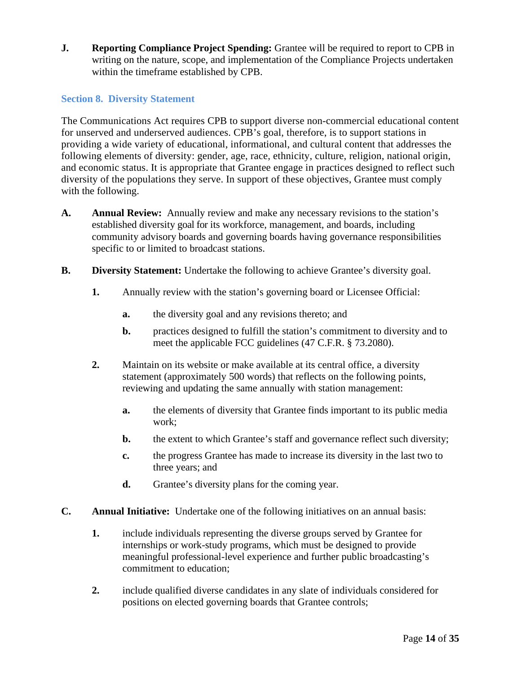**J. Reporting Compliance Project Spending:** Grantee will be required to report to CPB in writing on the nature, scope, and implementation of the Compliance Projects undertaken within the timeframe established by CPB.

# <span id="page-13-0"></span>**Section 8. Diversity Statement**

The Communications Act requires CPB to support diverse non-commercial educational content for unserved and underserved audiences. CPB's goal, therefore, is to support stations in providing a wide variety of educational, informational, and cultural content that addresses the following elements of diversity: gender, age, race, ethnicity, culture, religion, national origin, and economic status. It is appropriate that Grantee engage in practices designed to reflect such diversity of the populations they serve. In support of these objectives, Grantee must comply with the following.

- **A. Annual Review:** Annually review and make any necessary revisions to the station's established diversity goal for its workforce, management, and boards, including community advisory boards and governing boards having governance responsibilities specific to or limited to broadcast stations.
- **B. Diversity Statement:** Undertake the following to achieve Grantee's diversity goal.
	- **1.** Annually review with the station's governing board or Licensee Official:
		- **a.** the diversity goal and any revisions thereto; and
		- **b.** practices designed to fulfill the station's commitment to diversity and to meet the applicable FCC guidelines (47 C.F.R. § 73.2080).
	- **2.** Maintain on its website or make available at its central office, a diversity statement (approximately 500 words) that reflects on the following points, reviewing and updating the same annually with station management:
		- **a.** the elements of diversity that Grantee finds important to its public media work;
		- **b.** the extent to which Grantee's staff and governance reflect such diversity;
		- **c.** the progress Grantee has made to increase its diversity in the last two to three years; and
		- **d.** Grantee's diversity plans for the coming year.
- **C. Annual Initiative:** Undertake one of the following initiatives on an annual basis:
	- **1.** include individuals representing the diverse groups served by Grantee for internships or work-study programs, which must be designed to provide meaningful professional-level experience and further public broadcasting's commitment to education;
	- **2.** include qualified diverse candidates in any slate of individuals considered for positions on elected governing boards that Grantee controls;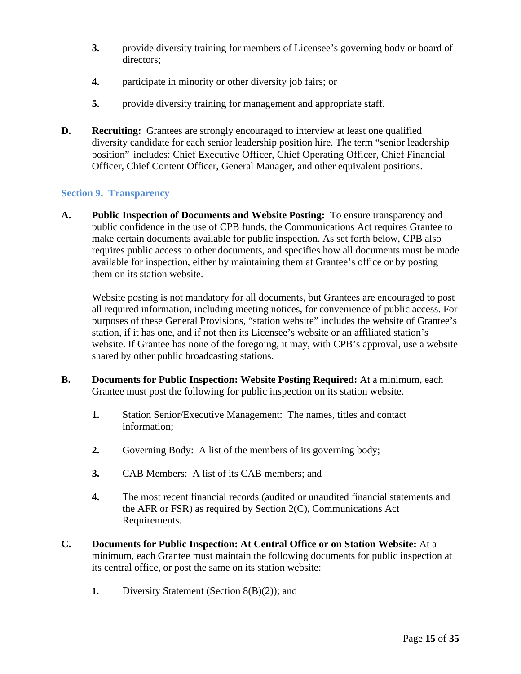- **3.** provide diversity training for members of Licensee's governing body or board of directors;
- **4.** participate in minority or other diversity job fairs; or
- **5.** provide diversity training for management and appropriate staff.
- **D. Recruiting:** Grantees are strongly encouraged to interview at least one qualified diversity candidate for each senior leadership position hire. The term "senior leadership position" includes: Chief Executive Officer, Chief Operating Officer, Chief Financial Officer, Chief Content Officer, General Manager, and other equivalent positions.

### <span id="page-14-0"></span>**Section 9. Transparency**

**A. Public Inspection of Documents and Website Posting:** To ensure transparency and public confidence in the use of CPB funds, the Communications Act requires Grantee to make certain documents available for public inspection. As set forth below, CPB also requires public access to other documents, and specifies how all documents must be made available for inspection, either by maintaining them at Grantee's office or by posting them on its station website.

Website posting is not mandatory for all documents, but Grantees are encouraged to post all required information, including meeting notices, for convenience of public access. For purposes of these General Provisions, "station website" includes the website of Grantee's station, if it has one, and if not then its Licensee's website or an affiliated station's website. If Grantee has none of the foregoing, it may, with CPB's approval, use a website shared by other public broadcasting stations.

- **B. Documents for Public Inspection: Website Posting Required:** At a minimum, each Grantee must post the following for public inspection on its station website.
	- **1.** Station Senior/Executive Management:The names, titles and contact information;
	- **2.** Governing Body: A list of the members of its governing body;
	- **3.** CAB Members: A list of its CAB members; and
	- **4.** The most recent financial records (audited or unaudited financial statements and the AFR or FSR) as required by Section 2(C), Communications Act Requirements.
- **C. Documents for Public Inspection: At Central Office or on Station Website:** At a minimum, each Grantee must maintain the following documents for public inspection at its central office, or post the same on its station website:
	- **1.** Diversity Statement (Section 8(B)(2)); and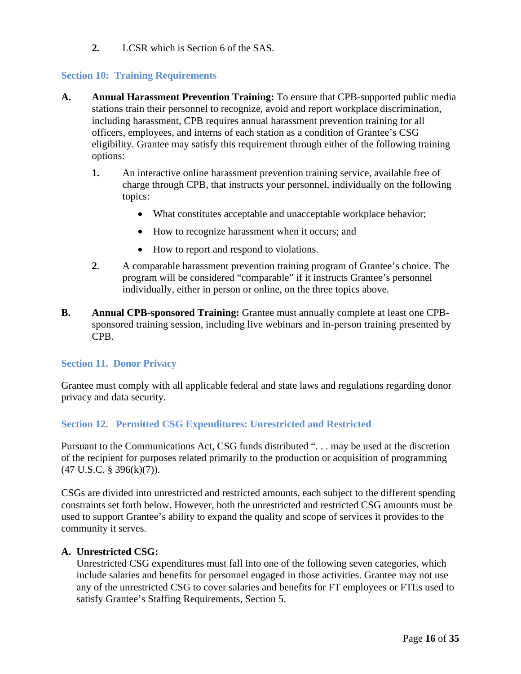**2.** LCSR which is Section 6 of the SAS.

#### <span id="page-15-0"></span>**Section 10: Training Requirements**

- **A. Annual Harassment Prevention Training:** To ensure that CPB-supported public media stations train their personnel to recognize, avoid and report workplace discrimination, including harassment, CPB requires annual harassment prevention training for all officers, employees, and interns of each station as a condition of Grantee's CSG eligibility. Grantee may satisfy this requirement through either of the following training options:
	- **1.** An interactive online harassment prevention training service, available free of charge through CPB, that instructs your personnel, individually on the following topics:
		- What constitutes acceptable and unacceptable workplace behavior;
		- How to recognize harassment when it occurs; and
		- How to report and respond to violations.
	- **2**. A comparable harassment prevention training program of Grantee's choice. The program will be considered "comparable" if it instructs Grantee's personnel individually, either in person or online, on the three topics above.
- **B. Annual CPB-sponsored Training:** Grantee must annually complete at least one CPBsponsored training session, including live webinars and in-person training presented by CPB.

#### <span id="page-15-1"></span>**Section 11. Donor Privacy**

Grantee must comply with all applicable federal and state laws and regulations regarding donor privacy and data security.

### <span id="page-15-2"></span>**Section 12. Permitted CSG Expenditures: Unrestricted and Restricted**

Pursuant to the Communications Act, CSG funds distributed ". . . may be used at the discretion of the recipient for purposes related primarily to the production or acquisition of programming (47 U.S.C. § 396(k)(7)).

CSGs are divided into unrestricted and restricted amounts, each subject to the different spending constraints set forth below. However, both the unrestricted and restricted CSG amounts must be used to support Grantee's ability to expand the quality and scope of services it provides to the community it serves.

#### **A. Unrestricted CSG:**

Unrestricted CSG expenditures must fall into one of the following seven categories, which include salaries and benefits for personnel engaged in those activities. Grantee may not use any of the unrestricted CSG to cover salaries and benefits for FT employees or FTEs used to satisfy Grantee's Staffing Requirements, Section 5.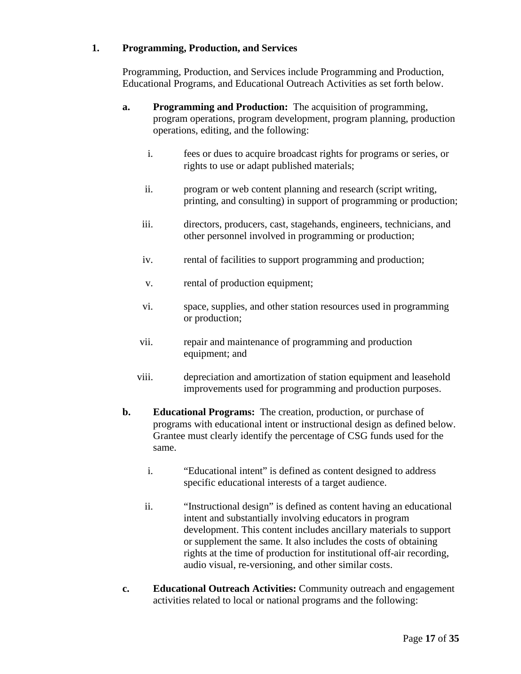#### **1. Programming, Production, and Services**

Programming, Production, and Services include Programming and Production, Educational Programs, and Educational Outreach Activities as set forth below.

- **a. Programming and Production:** The acquisition of programming, program operations, program development, program planning, production operations, editing, and the following:
	- i. fees or dues to acquire broadcast rights for programs or series, or rights to use or adapt published materials;
	- ii. program or web content planning and research (script writing, printing, and consulting) in support of programming or production;
	- iii. directors, producers, cast, stagehands, engineers, technicians, and other personnel involved in programming or production;
	- iv. rental of facilities to support programming and production;
	- v. rental of production equipment;
	- vi. space, supplies, and other station resources used in programming or production;
	- vii. repair and maintenance of programming and production equipment; and
	- viii. depreciation and amortization of station equipment and leasehold improvements used for programming and production purposes.
- **b. Educational Programs:** The creation, production, or purchase of programs with educational intent or instructional design as defined below. Grantee must clearly identify the percentage of CSG funds used for the same.
	- i. "Educational intent" is defined as content designed to address specific educational interests of a target audience.
	- ii. "Instructional design" is defined as content having an educational intent and substantially involving educators in program development. This content includes ancillary materials to support or supplement the same. It also includes the costs of obtaining rights at the time of production for institutional off-air recording, audio visual, re-versioning, and other similar costs.
- **c. Educational Outreach Activities:** Community outreach and engagement activities related to local or national programs and the following: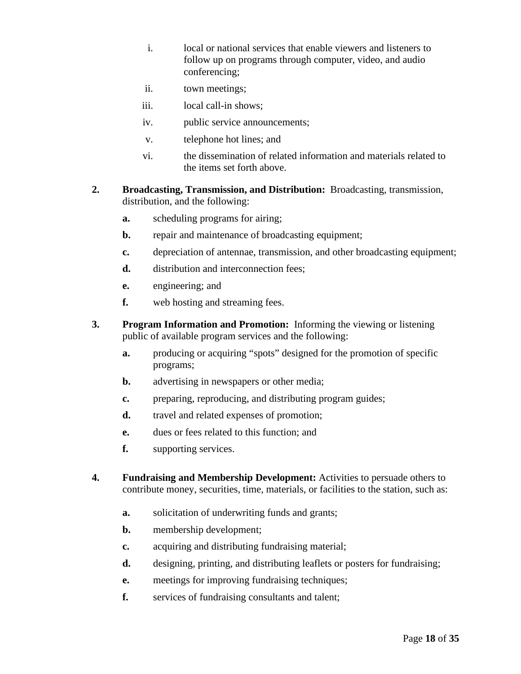- i. local or national services that enable viewers and listeners to follow up on programs through computer, video, and audio conferencing;
- ii. town meetings;
- iii. local call-in shows;
- iv. public service announcements;
- v. telephone hot lines; and
- vi. the dissemination of related information and materials related to the items set forth above.
- **2. Broadcasting, Transmission, and Distribution:** Broadcasting, transmission, distribution, and the following:
	- **a.** scheduling programs for airing;
	- **b.** repair and maintenance of broadcasting equipment;
	- **c.** depreciation of antennae, transmission, and other broadcasting equipment;
	- **d.** distribution and interconnection fees:
	- **e.** engineering; and
	- **f.** web hosting and streaming fees.
- **3. Program Information and Promotion:** Informing the viewing or listening public of available program services and the following:
	- **a.** producing or acquiring "spots" designed for the promotion of specific programs;
	- **b.** advertising in newspapers or other media;
	- **c.** preparing, reproducing, and distributing program guides;
	- **d.** travel and related expenses of promotion;
	- **e.** dues or fees related to this function; and
	- **f.** supporting services.
- **4. Fundraising and Membership Development:** Activities to persuade others to contribute money, securities, time, materials, or facilities to the station, such as:
	- **a.** solicitation of underwriting funds and grants;
	- **b.** membership development;
	- **c.** acquiring and distributing fundraising material;
	- **d.** designing, printing, and distributing leaflets or posters for fundraising;
	- **e.** meetings for improving fundraising techniques;
	- **f.** services of fundraising consultants and talent;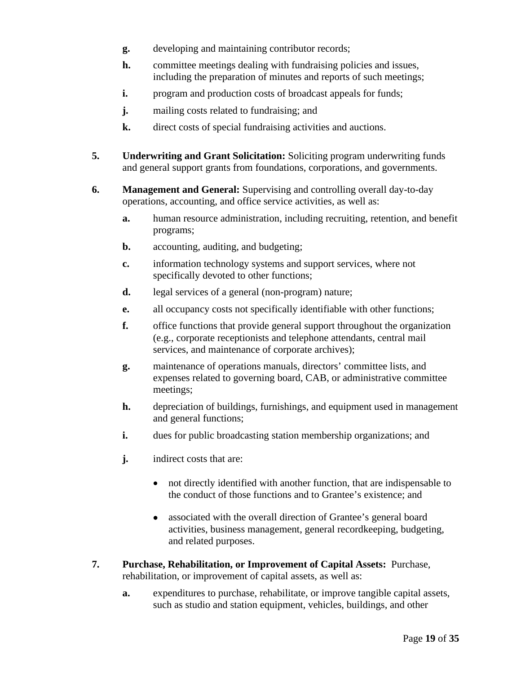- **g.** developing and maintaining contributor records;
- **h.** committee meetings dealing with fundraising policies and issues, including the preparation of minutes and reports of such meetings;
- **i.** program and production costs of broadcast appeals for funds;
- **j.** mailing costs related to fundraising; and
- **k.** direct costs of special fundraising activities and auctions.
- **5. Underwriting and Grant Solicitation:** Soliciting program underwriting funds and general support grants from foundations, corporations, and governments.
- **6. Management and General:** Supervising and controlling overall day-to-day operations, accounting, and office service activities, as well as:
	- **a.** human resource administration, including recruiting, retention, and benefit programs;
	- **b.** accounting, auditing, and budgeting;
	- **c.** information technology systems and support services, where not specifically devoted to other functions;
	- **d.** legal services of a general (non-program) nature;
	- **e.** all occupancy costs not specifically identifiable with other functions;
	- **f.** office functions that provide general support throughout the organization (e.g., corporate receptionists and telephone attendants, central mail services, and maintenance of corporate archives);
	- **g.** maintenance of operations manuals, directors' committee lists, and expenses related to governing board, CAB, or administrative committee meetings;
	- **h.** depreciation of buildings, furnishings, and equipment used in management and general functions;
	- **i.** dues for public broadcasting station membership organizations; and
	- **j.** indirect costs that are:
		- not directly identified with another function, that are indispensable to the conduct of those functions and to Grantee's existence; and
		- associated with the overall direction of Grantee's general board activities, business management, general recordkeeping, budgeting, and related purposes.
- **7. Purchase, Rehabilitation, or Improvement of Capital Assets:** Purchase, rehabilitation, or improvement of capital assets, as well as:
	- **a.** expenditures to purchase, rehabilitate, or improve tangible capital assets, such as studio and station equipment, vehicles, buildings, and other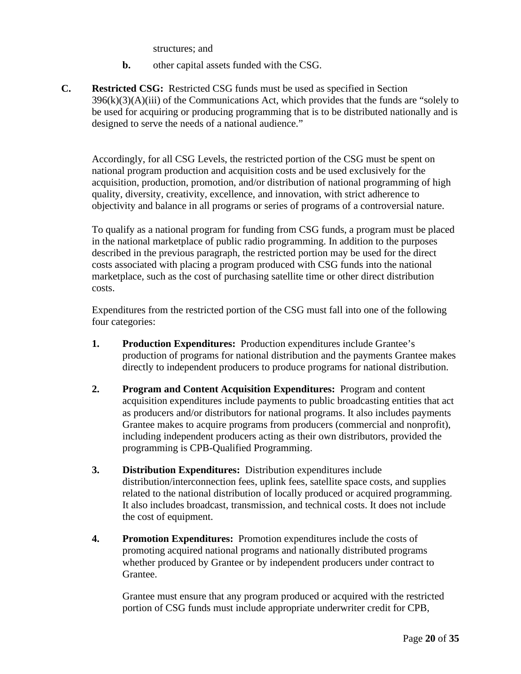structures; and

- **b.** other capital assets funded with the CSG.
- **C. Restricted CSG:** Restricted CSG funds must be used as specified in Section  $396(k)(3)(A)(iii)$  of the Communications Act, which provides that the funds are "solely to be used for acquiring or producing programming that is to be distributed nationally and is designed to serve the needs of a national audience."

Accordingly, for all CSG Levels, the restricted portion of the CSG must be spent on national program production and acquisition costs and be used exclusively for the acquisition, production, promotion, and/or distribution of national programming of high quality, diversity, creativity, excellence, and innovation, with strict adherence to objectivity and balance in all programs or series of programs of a controversial nature.

To qualify as a national program for funding from CSG funds, a program must be placed in the national marketplace of public radio programming. In addition to the purposes described in the previous paragraph, the restricted portion may be used for the direct costs associated with placing a program produced with CSG funds into the national marketplace, such as the cost of purchasing satellite time or other direct distribution costs.

Expenditures from the restricted portion of the CSG must fall into one of the following four categories:

- **1. Production Expenditures:** Production expenditures include Grantee's production of programs for national distribution and the payments Grantee makes directly to independent producers to produce programs for national distribution.
- **2. Program and Content Acquisition Expenditures:** Program and content acquisition expenditures include payments to public broadcasting entities that act as producers and/or distributors for national programs. It also includes payments Grantee makes to acquire programs from producers (commercial and nonprofit), including independent producers acting as their own distributors, provided the programming is CPB-Qualified Programming.
- **3. Distribution Expenditures:** Distribution expenditures include distribution/interconnection fees, uplink fees, satellite space costs, and supplies related to the national distribution of locally produced or acquired programming. It also includes broadcast, transmission, and technical costs. It does not include the cost of equipment.
- **4. Promotion Expenditures:** Promotion expenditures include the costs of promoting acquired national programs and nationally distributed programs whether produced by Grantee or by independent producers under contract to Grantee.

Grantee must ensure that any program produced or acquired with the restricted portion of CSG funds must include appropriate underwriter credit for CPB,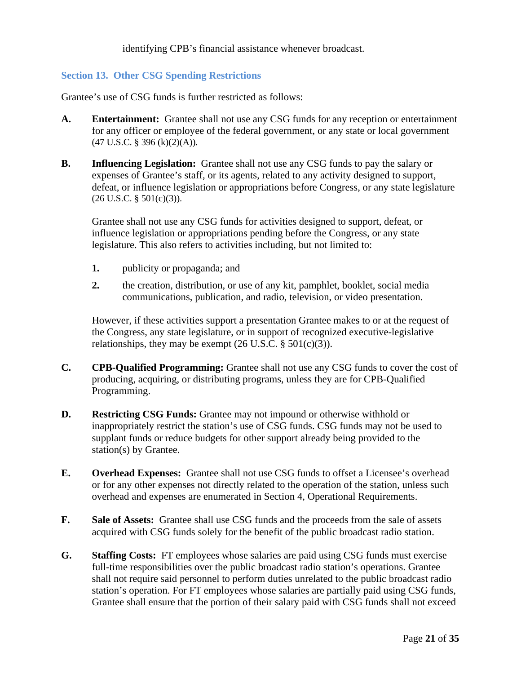identifying CPB's financial assistance whenever broadcast.

#### <span id="page-20-0"></span>**Section 13. Other CSG Spending Restrictions**

Grantee's use of CSG funds is further restricted as follows:

- **A. Entertainment:** Grantee shall not use any CSG funds for any reception or entertainment for any officer or employee of the federal government, or any state or local government  $(47 \text{ U.S.C. }$ § 396 (k)(2)(A)).
- **B. Influencing Legislation:** Grantee shall not use any CSG funds to pay the salary or expenses of Grantee's staff, or its agents, related to any activity designed to support, defeat, or influence legislation or appropriations before Congress, or any state legislature  $(26 \text{ U.S.C. } § 501(c)(3)).$

Grantee shall not use any CSG funds for activities designed to support, defeat, or influence legislation or appropriations pending before the Congress, or any state legislature. This also refers to activities including, but not limited to:

- **1.** publicity or propaganda; and
- **2.** the creation, distribution, or use of any kit, pamphlet, booklet, social media communications, publication, and radio, television, or video presentation.

However, if these activities support a presentation Grantee makes to or at the request of the Congress, any state legislature, or in support of recognized executive-legislative relationships, they may be exempt  $(26 \text{ U.S.C.} \S 501(c)(3))$ .

- **C. CPB-Qualified Programming:** Grantee shall not use any CSG funds to cover the cost of producing, acquiring, or distributing programs, unless they are for CPB-Qualified Programming.
- **D. Restricting CSG Funds:** Grantee may not impound or otherwise withhold or inappropriately restrict the station's use of CSG funds. CSG funds may not be used to supplant funds or reduce budgets for other support already being provided to the station(s) by Grantee.
- **E. Overhead Expenses:** Grantee shall not use CSG funds to offset a Licensee's overhead or for any other expenses not directly related to the operation of the station, unless such overhead and expenses are enumerated in Section 4, Operational Requirements.
- **F. Sale of Assets:** Grantee shall use CSG funds and the proceeds from the sale of assets acquired with CSG funds solely for the benefit of the public broadcast radio station.
- **G. Staffing Costs:** FT employees whose salaries are paid using CSG funds must exercise full-time responsibilities over the public broadcast radio station's operations. Grantee shall not require said personnel to perform duties unrelated to the public broadcast radio station's operation. For FT employees whose salaries are partially paid using CSG funds, Grantee shall ensure that the portion of their salary paid with CSG funds shall not exceed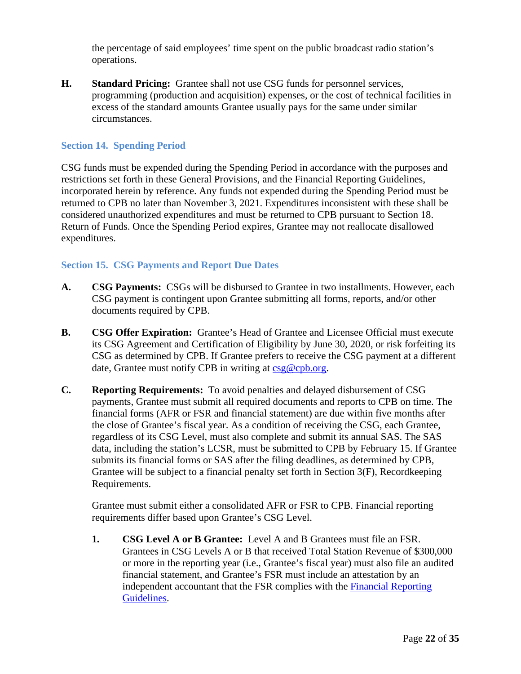the percentage of said employees' time spent on the public broadcast radio station's operations.

**H. Standard Pricing:** Grantee shall not use CSG funds for personnel services, programming (production and acquisition) expenses, or the cost of technical facilities in excess of the standard amounts Grantee usually pays for the same under similar circumstances.

#### <span id="page-21-0"></span>**Section 14. Spending Period**

CSG funds must be expended during the Spending Period in accordance with the purposes and restrictions set forth in these General Provisions, and the Financial Reporting Guidelines, incorporated herein by reference. Any funds not expended during the Spending Period must be returned to CPB no later than November 3, 2021. Expenditures inconsistent with these shall be considered unauthorized expenditures and must be returned to CPB pursuant to Section 18. Return of Funds. Once the Spending Period expires, Grantee may not reallocate disallowed expenditures.

#### <span id="page-21-1"></span>**Section 15. CSG Payments and Report Due Dates**

- **A. CSG Payments:** CSGs will be disbursed to Grantee in two installments. However, each CSG payment is contingent upon Grantee submitting all forms, reports, and/or other documents required by CPB.
- **B. CSG Offer Expiration:** Grantee's Head of Grantee and Licensee Official must execute its CSG Agreement and Certification of Eligibility by June 30, 2020, or risk forfeiting its CSG as determined by CPB. If Grantee prefers to receive the CSG payment at a different date, Grantee must notify CPB in writing at [csg@cpb.org.](mailto:csg@cpb.org)
- **C. Reporting Requirements:** To avoid penalties and delayed disbursement of CSG payments, Grantee must submit all required documents and reports to CPB on time. The financial forms (AFR or FSR and financial statement) are due within five months after the close of Grantee's fiscal year. As a condition of receiving the CSG, each Grantee, regardless of its CSG Level, must also complete and submit its annual SAS. The SAS data, including the station's LCSR, must be submitted to CPB by February 15. If Grantee submits its financial forms or SAS after the filing deadlines, as determined by CPB, Grantee will be subject to a financial penalty set forth in Section 3(F), Recordkeeping Requirements.

Grantee must submit either a consolidated AFR or FSR to CPB. Financial reporting requirements differ based upon Grantee's CSG Level.

**1. CSG Level A or B Grantee:** Level A and B Grantees must file an FSR. Grantees in CSG Levels A or B that received Total Station Revenue of \$300,000 or more in the reporting year (i.e., Grantee's fiscal year) must also file an audited financial statement, and Grantee's FSR must include an attestation by an independent accountant that the FSR complies with the [Financial Reporting](http://www.cpb.org/stations/frg/)  [Guidelines.](http://www.cpb.org/stations/frg/)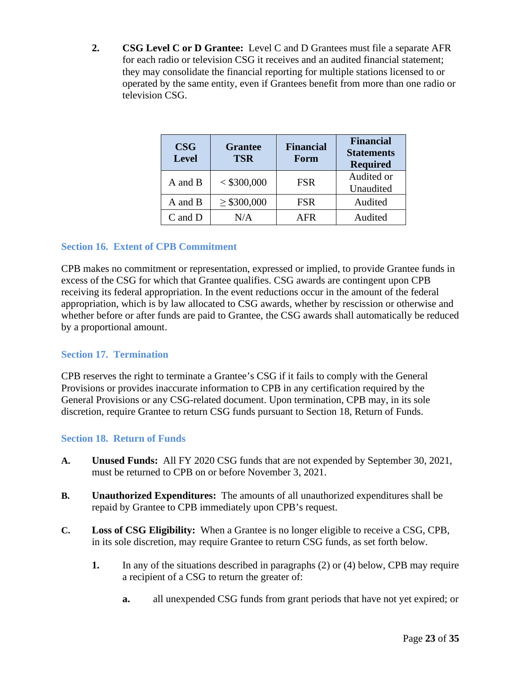**2. CSG Level C or D Grantee:** Level C and D Grantees must file a separate AFR for each radio or television CSG it receives and an audited financial statement; they may consolidate the financial reporting for multiple stations licensed to or operated by the same entity, even if Grantees benefit from more than one radio or television CSG.

| <b>CSG</b><br><b>Level</b> | <b>Grantee</b><br><b>TSR</b> | <b>Financial</b><br>Form | <b>Financial</b><br><b>Statements</b><br><b>Required</b> |
|----------------------------|------------------------------|--------------------------|----------------------------------------------------------|
| A and B                    | $<$ \$300,000                | <b>FSR</b>               | Audited or<br>Unaudited                                  |
| A and B                    | $\geq$ \$300,000             | <b>FSR</b>               | Audited                                                  |
| $C$ and $D$                | N/A                          | . FR                     | Audited                                                  |

### <span id="page-22-0"></span>**Section 16. Extent of CPB Commitment**

CPB makes no commitment or representation, expressed or implied, to provide Grantee funds in excess of the CSG for which that Grantee qualifies. CSG awards are contingent upon CPB receiving its federal appropriation. In the event reductions occur in the amount of the federal appropriation, which is by law allocated to CSG awards, whether by rescission or otherwise and whether before or after funds are paid to Grantee, the CSG awards shall automatically be reduced by a proportional amount.

#### <span id="page-22-1"></span>**Section 17. Termination**

CPB reserves the right to terminate a Grantee's CSG if it fails to comply with the General Provisions or provides inaccurate information to CPB in any certification required by the General Provisions or any CSG-related document. Upon termination, CPB may, in its sole discretion, require Grantee to return CSG funds pursuant to Section 18, Return of Funds.

#### <span id="page-22-2"></span>**Section 18. Return of Funds**

- **A. Unused Funds:** All FY 2020 CSG funds that are not expended by September 30, 2021, must be returned to CPB on or before November 3, 2021.
- **B. Unauthorized Expenditures:** The amounts of all unauthorized expenditures shall be repaid by Grantee to CPB immediately upon CPB's request.
- **C. Loss of CSG Eligibility:** When a Grantee is no longer eligible to receive a CSG, CPB, in its sole discretion, may require Grantee to return CSG funds, as set forth below.
	- **1.** In any of the situations described in paragraphs (2) or (4) below, CPB may require a recipient of a CSG to return the greater of:
		- **a.** all unexpended CSG funds from grant periods that have not yet expired; or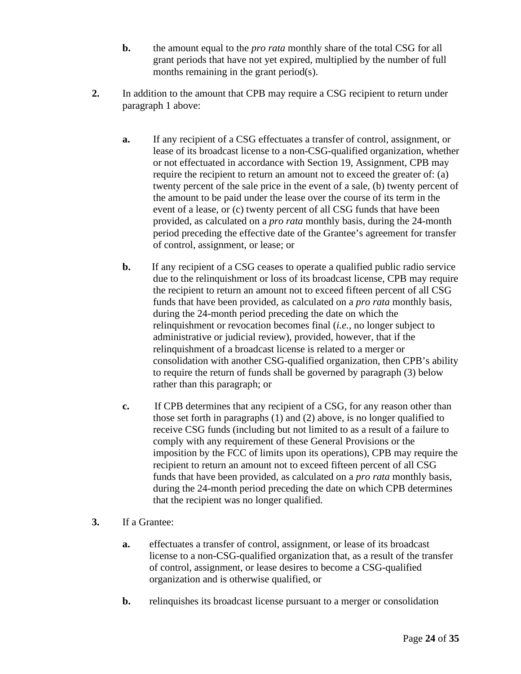- **b.** the amount equal to the *pro rata* monthly share of the total CSG for all grant periods that have not yet expired, multiplied by the number of full months remaining in the grant period(s).
- **2.** In addition to the amount that CPB may require a CSG recipient to return under paragraph 1 above:
	- **a.** If any recipient of a CSG effectuates a transfer of control, assignment, or lease of its broadcast license to a non-CSG-qualified organization, whether or not effectuated in accordance with Section 19, Assignment, CPB may require the recipient to return an amount not to exceed the greater of: (a) twenty percent of the sale price in the event of a sale, (b) twenty percent of the amount to be paid under the lease over the course of its term in the event of a lease, or (c) twenty percent of all CSG funds that have been provided, as calculated on a *pro rata* monthly basis, during the 24-month period preceding the effective date of the Grantee's agreement for transfer of control, assignment, or lease; or
	- **b.** If any recipient of a CSG ceases to operate a qualified public radio service due to the relinquishment or loss of its broadcast license, CPB may require the recipient to return an amount not to exceed fifteen percent of all CSG funds that have been provided, as calculated on a *pro rata* monthly basis, during the 24-month period preceding the date on which the relinquishment or revocation becomes final (*i.e.*, no longer subject to administrative or judicial review), provided, however, that if the relinquishment of a broadcast license is related to a merger or consolidation with another CSG-qualified organization, then CPB's ability to require the return of funds shall be governed by paragraph (3) below rather than this paragraph; or
	- **c.** If CPB determines that any recipient of a CSG, for any reason other than those set forth in paragraphs (1) and (2) above, is no longer qualified to receive CSG funds (including but not limited to as a result of a failure to comply with any requirement of these General Provisions or the imposition by the FCC of limits upon its operations), CPB may require the recipient to return an amount not to exceed fifteen percent of all CSG funds that have been provided, as calculated on a *pro rata* monthly basis, during the 24-month period preceding the date on which CPB determines that the recipient was no longer qualified.
- **3.** If a Grantee:
	- **a.** effectuates a transfer of control, assignment, or lease of its broadcast license to a non-CSG-qualified organization that, as a result of the transfer of control, assignment, or lease desires to become a CSG-qualified organization and is otherwise qualified, or
	- **b.** relinquishes its broadcast license pursuant to a merger or consolidation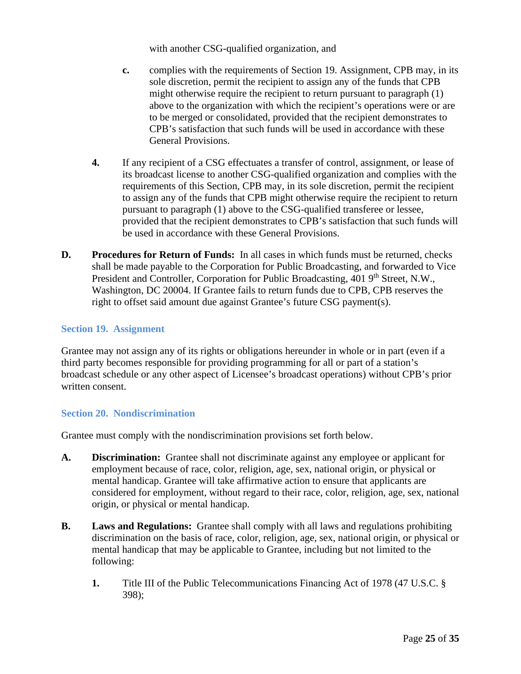with another CSG-qualified organization, and

- **c.** complies with the requirements of Section 19. Assignment, CPB may, in its sole discretion, permit the recipient to assign any of the funds that CPB might otherwise require the recipient to return pursuant to paragraph (1) above to the organization with which the recipient's operations were or are to be merged or consolidated, provided that the recipient demonstrates to CPB's satisfaction that such funds will be used in accordance with these General Provisions.
- **4.** If any recipient of a CSG effectuates a transfer of control, assignment, or lease of its broadcast license to another CSG-qualified organization and complies with the requirements of this Section, CPB may, in its sole discretion, permit the recipient to assign any of the funds that CPB might otherwise require the recipient to return pursuant to paragraph (1) above to the CSG-qualified transferee or lessee, provided that the recipient demonstrates to CPB's satisfaction that such funds will be used in accordance with these General Provisions.
- **D. Procedures for Return of Funds:** In all cases in which funds must be returned, checks shall be made payable to the Corporation for Public Broadcasting, and forwarded to Vice President and Controller, Corporation for Public Broadcasting, 401 9<sup>th</sup> Street, N.W., Washington, DC 20004. If Grantee fails to return funds due to CPB, CPB reserves the right to offset said amount due against Grantee's future CSG payment(s).

#### <span id="page-24-0"></span>**Section 19. Assignment**

Grantee may not assign any of its rights or obligations hereunder in whole or in part (even if a third party becomes responsible for providing programming for all or part of a station's broadcast schedule or any other aspect of Licensee's broadcast operations) without CPB's prior written consent.

#### <span id="page-24-1"></span>**Section 20. Nondiscrimination**

Grantee must comply with the nondiscrimination provisions set forth below.

- **A. Discrimination:** Grantee shall not discriminate against any employee or applicant for employment because of race, color, religion, age, sex, national origin, or physical or mental handicap. Grantee will take affirmative action to ensure that applicants are considered for employment, without regard to their race, color, religion, age, sex, national origin, or physical or mental handicap.
- **B. Laws and Regulations:** Grantee shall comply with all laws and regulations prohibiting discrimination on the basis of race, color, religion, age, sex, national origin, or physical or mental handicap that may be applicable to Grantee, including but not limited to the following:
	- **1.** Title III of the Public Telecommunications Financing Act of 1978 (47 U.S.C. § 398);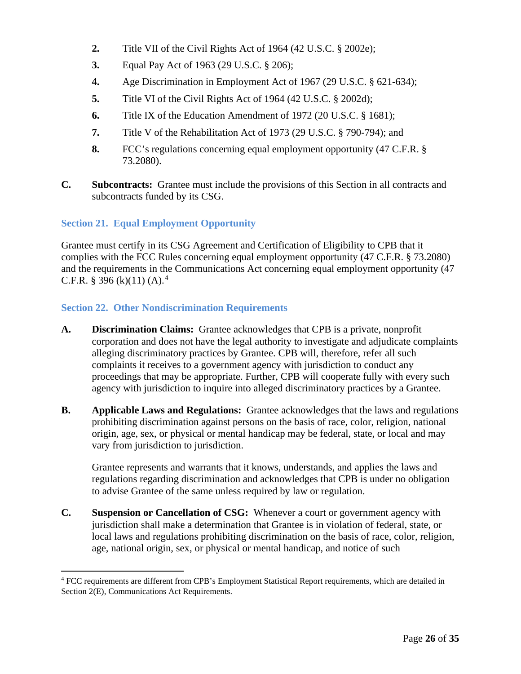- **2.** Title VII of the Civil Rights Act of 1964 (42 U.S.C. § 2002e);
- **3.** Equal Pay Act of 1963 (29 U.S.C. § 206);
- **4.** Age Discrimination in Employment Act of 1967 (29 U.S.C. § 621-634);
- **5.** Title VI of the Civil Rights Act of 1964 (42 U.S.C. § 2002d);
- **6.** Title IX of the Education Amendment of 1972 (20 U.S.C. § 1681);
- **7.** Title V of the Rehabilitation Act of 1973 (29 U.S.C. § 790-794); and
- **8.** FCC's regulations concerning equal employment opportunity (47 C.F.R. § 73.2080).
- **C. Subcontracts:** Grantee must include the provisions of this Section in all contracts and subcontracts funded by its CSG.

# <span id="page-25-0"></span>**Section 21. Equal Employment Opportunity**

Grantee must certify in its CSG Agreement and Certification of Eligibility to CPB that it complies with the FCC Rules concerning equal employment opportunity (47 C.F.R. § 73.2080) and the requirements in the Communications Act concerning equal employment opportunity (47 C.F.R. § 396 (k)(11) (A).<sup>[4](#page-25-2)</sup>

### <span id="page-25-1"></span>**Section 22. Other Nondiscrimination Requirements**

- **A. Discrimination Claims:** Grantee acknowledges that CPB is a private, nonprofit corporation and does not have the legal authority to investigate and adjudicate complaints alleging discriminatory practices by Grantee. CPB will, therefore, refer all such complaints it receives to a government agency with jurisdiction to conduct any proceedings that may be appropriate. Further, CPB will cooperate fully with every such agency with jurisdiction to inquire into alleged discriminatory practices by a Grantee.
- **B. Applicable Laws and Regulations:** Grantee acknowledges that the laws and regulations prohibiting discrimination against persons on the basis of race, color, religion, national origin, age, sex, or physical or mental handicap may be federal, state, or local and may vary from jurisdiction to jurisdiction.

Grantee represents and warrants that it knows, understands, and applies the laws and regulations regarding discrimination and acknowledges that CPB is under no obligation to advise Grantee of the same unless required by law or regulation.

**C. Suspension or Cancellation of CSG:** Whenever a court or government agency with jurisdiction shall make a determination that Grantee is in violation of federal, state, or local laws and regulations prohibiting discrimination on the basis of race, color, religion, age, national origin, sex, or physical or mental handicap, and notice of such

<span id="page-25-2"></span><sup>4</sup> FCC requirements are different from CPB's Employment Statistical Report requirements, which are detailed in Section 2(E), Communications Act Requirements.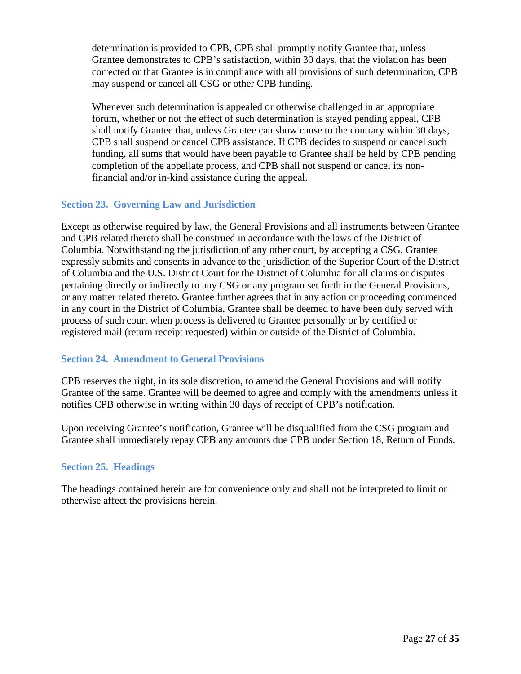determination is provided to CPB, CPB shall promptly notify Grantee that, unless Grantee demonstrates to CPB's satisfaction, within 30 days, that the violation has been corrected or that Grantee is in compliance with all provisions of such determination, CPB may suspend or cancel all CSG or other CPB funding.

Whenever such determination is appealed or otherwise challenged in an appropriate forum, whether or not the effect of such determination is stayed pending appeal, CPB shall notify Grantee that, unless Grantee can show cause to the contrary within 30 days, CPB shall suspend or cancel CPB assistance. If CPB decides to suspend or cancel such funding, all sums that would have been payable to Grantee shall be held by CPB pending completion of the appellate process, and CPB shall not suspend or cancel its nonfinancial and/or in-kind assistance during the appeal.

#### <span id="page-26-0"></span>**Section 23. Governing Law and Jurisdiction**

Except as otherwise required by law, the General Provisions and all instruments between Grantee and CPB related thereto shall be construed in accordance with the laws of the District of Columbia. Notwithstanding the jurisdiction of any other court, by accepting a CSG, Grantee expressly submits and consents in advance to the jurisdiction of the Superior Court of the District of Columbia and the U.S. District Court for the District of Columbia for all claims or disputes pertaining directly or indirectly to any CSG or any program set forth in the General Provisions, or any matter related thereto. Grantee further agrees that in any action or proceeding commenced in any court in the District of Columbia, Grantee shall be deemed to have been duly served with process of such court when process is delivered to Grantee personally or by certified or registered mail (return receipt requested) within or outside of the District of Columbia.

#### <span id="page-26-1"></span>**Section 24. Amendment to General Provisions**

CPB reserves the right, in its sole discretion, to amend the General Provisions and will notify Grantee of the same. Grantee will be deemed to agree and comply with the amendments unless it notifies CPB otherwise in writing within 30 days of receipt of CPB's notification.

Upon receiving Grantee's notification, Grantee will be disqualified from the CSG program and Grantee shall immediately repay CPB any amounts due CPB under Section 18, Return of Funds.

#### <span id="page-26-2"></span>**Section 25. Headings**

The headings contained herein are for convenience only and shall not be interpreted to limit or otherwise affect the provisions herein.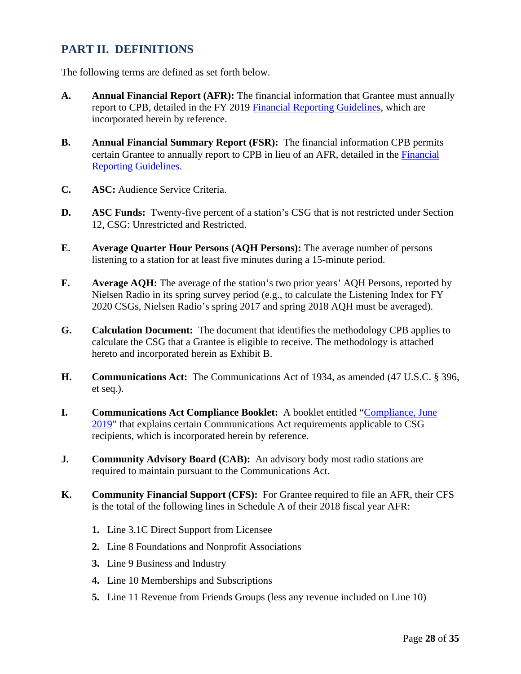# <span id="page-27-0"></span>**PART II. DEFINITIONS**

The following terms are defined as set forth below.

- **A. Annual Financial Report (AFR):** The financial information that Grantee must annually report to CPB, detailed in the FY 2019 [Financial Reporting Guidelines,](http://www.cpb.org/stations/frg/) which are incorporated herein by reference.
- **B. Annual Financial Summary Report (FSR):** The financial information CPB permits certain Grantee to annually report to CPB in lieu of an AFR, detailed in the [Financial](http://www.cpb.org/stations/frg/)  [Reporting Guidelines.](http://www.cpb.org/stations/frg/)
- **C. ASC:** Audience Service Criteria.
- **D. ASC Funds:** Twenty-five percent of a station's CSG that is not restricted under Section 12, CSG: Unrestricted and Restricted.
- **E. Average Quarter Hour Persons (AQH Persons):** The average number of persons listening to a station for at least five minutes during a 15-minute period.
- **F. Average AQH:** The average of the station's two prior years' AQH Persons, reported by Nielsen Radio in its spring survey period (e.g., to calculate the Listening Index for FY 2020 CSGs, Nielsen Radio's spring 2017 and spring 2018 AQH must be averaged).
- **G. Calculation Document:** The document that identifies the methodology CPB applies to calculate the CSG that a Grantee is eligible to receive. The methodology is attached hereto and incorporated herein as Exhibit B.
- **H. Communications Act:** The Communications Act of 1934, as amended (47 U.S.C. § 396, et seq.).
- **I. Communications Act Compliance Booklet:** A booklet entitled ["Compliance, June](https://www.cpb.org/stations/certification/)  [2019"](https://www.cpb.org/stations/certification/) that explains certain Communications Act requirements applicable to CSG recipients, which is incorporated herein by reference.
- **J. Community Advisory Board (CAB):** An advisory body most radio stations are required to maintain pursuant to the Communications Act.
- **K. Community Financial Support (CFS):** For Grantee required to file an AFR, their CFS is the total of the following lines in Schedule A of their 2018 fiscal year AFR:
	- **1.** Line 3.1C Direct Support from Licensee
	- **2.** Line 8 Foundations and Nonprofit Associations
	- **3.** Line 9 Business and Industry
	- **4.** Line 10 Memberships and Subscriptions
	- **5.** Line 11 Revenue from Friends Groups (less any revenue included on Line 10)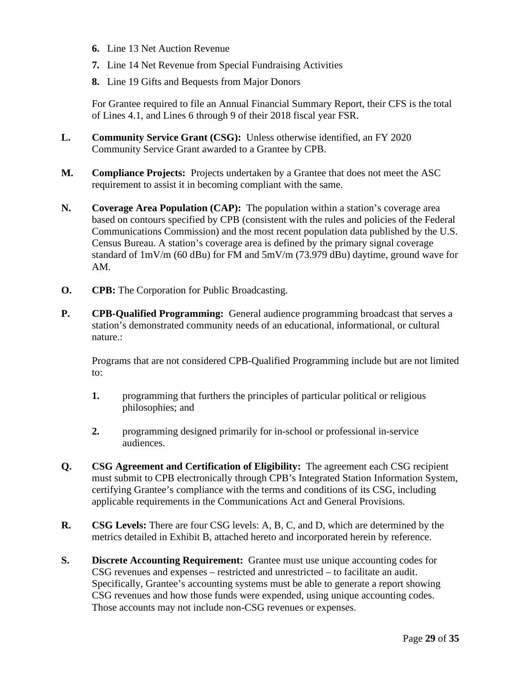- **6.** Line 13 Net Auction Revenue
- **7.** Line 14 Net Revenue from Special Fundraising Activities
- **8.** Line 19 Gifts and Bequests from Major Donors

For Grantee required to file an Annual Financial Summary Report, their CFS is the total of Lines 4.1, and Lines 6 through 9 of their 2018 fiscal year FSR.

- **L. Community Service Grant (CSG):** Unless otherwise identified, an FY 2020 Community Service Grant awarded to a Grantee by CPB.
- **M. Compliance Projects:** Projects undertaken by a Grantee that does not meet the ASC requirement to assist it in becoming compliant with the same.
- **N. Coverage Area Population (CAP):** The population within a station's coverage area based on contours specified by CPB (consistent with the rules and policies of the Federal Communications Commission) and the most recent population data published by the U.S. Census Bureau. A station's coverage area is defined by the primary signal coverage standard of 1mV/m (60 dBu) for FM and 5mV/m (73.979 dBu) daytime, ground wave for AM.
- **O. CPB:** The Corporation for Public Broadcasting.
- **P. CPB-Qualified Programming:** General audience programming broadcast that serves a station's demonstrated community needs of an educational, informational, or cultural nature.:

Programs that are not considered CPB-Qualified Programming include but are not limited to:

- **1.** programming that furthers the principles of particular political or religious philosophies; and
- **2.** programming designed primarily for in-school or professional in-service audiences.
- **Q. CSG Agreement and Certification of Eligibility:** The agreement each CSG recipient must submit to CPB electronically through CPB's Integrated Station Information System, certifying Grantee's compliance with the terms and conditions of its CSG, including applicable requirements in the Communications Act and General Provisions.
- **R. CSG Levels:** There are four CSG levels: A, B, C, and D, which are determined by the metrics detailed in Exhibit B, attached hereto and incorporated herein by reference.
- **S. Discrete Accounting Requirement:** Grantee must use unique accounting codes for CSG revenues and expenses – restricted and unrestricted – to facilitate an audit. Specifically, Grantee's accounting systems must be able to generate a report showing CSG revenues and how those funds were expended, using unique accounting codes. Those accounts may not include non-CSG revenues or expenses.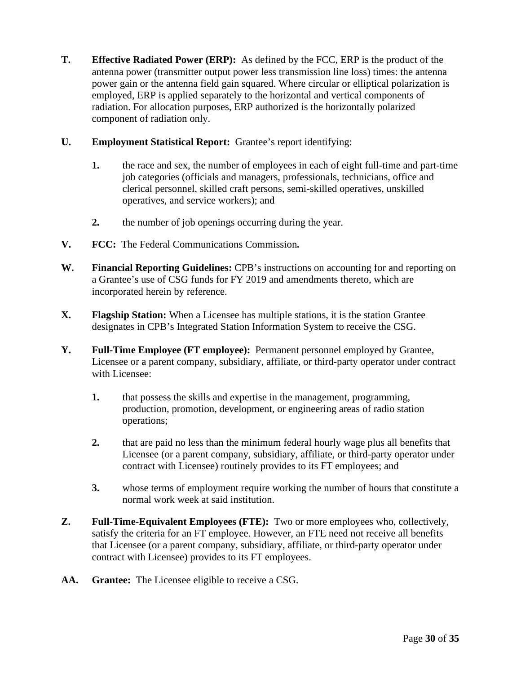**T. Effective Radiated Power (ERP):** As defined by the FCC, ERP is the product of the antenna power (transmitter output power less transmission line loss) times: the antenna power gain or the antenna field gain squared. Where circular or elliptical polarization is employed, ERP is applied separately to the horizontal and vertical components of radiation. For allocation purposes, ERP authorized is the horizontally polarized component of radiation only.

#### **U. Employment Statistical Report:** Grantee's report identifying:

- **1.** the race and sex, the number of employees in each of eight full-time and part-time job categories (officials and managers, professionals, technicians, office and clerical personnel, skilled craft persons, semi-skilled operatives, unskilled operatives, and service workers); and
- **2.** the number of job openings occurring during the year.
- **V. FCC:** The Federal Communications Commission**.**
- **W. Financial Reporting Guidelines:** CPB's instructions on accounting for and reporting on a Grantee's use of CSG funds for FY 2019 and amendments thereto, which are incorporated herein by reference.
- **X. Flagship Station:** When a Licensee has multiple stations, it is the station Grantee designates in CPB's Integrated Station Information System to receive the CSG.
- **Y. Full-Time Employee (FT employee):** Permanent personnel employed by Grantee, Licensee or a parent company, subsidiary, affiliate, or third-party operator under contract with Licensee:
	- **1.** that possess the skills and expertise in the management, programming, production, promotion, development, or engineering areas of radio station operations;
	- **2.** that are paid no less than the minimum federal hourly wage plus all benefits that Licensee (or a parent company, subsidiary, affiliate, or third-party operator under contract with Licensee) routinely provides to its FT employees; and
	- **3.** whose terms of employment require working the number of hours that constitute a normal work week at said institution.
- **Z. Full-Time-Equivalent Employees (FTE):** Two or more employees who, collectively, satisfy the criteria for an FT employee. However, an FTE need not receive all benefits that Licensee (or a parent company, subsidiary, affiliate, or third-party operator under contract with Licensee) provides to its FT employees.
- **AA. Grantee:** The Licensee eligible to receive a CSG.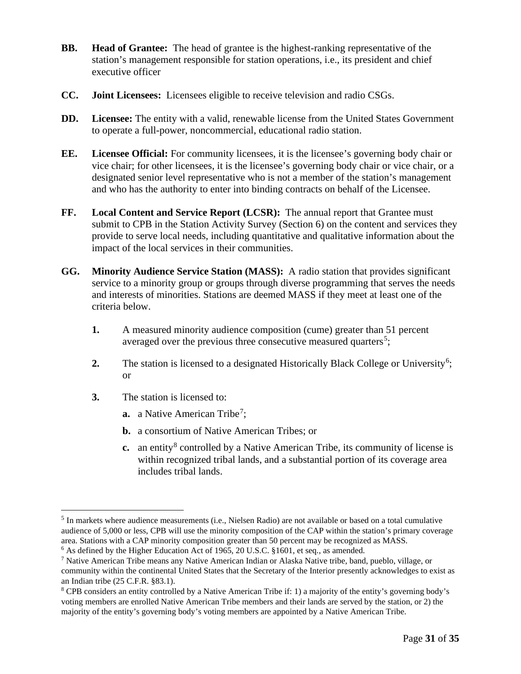- **BB. Head of Grantee:** The head of grantee is the highest-ranking representative of the station's management responsible for station operations, i.e., its president and chief executive officer
- **CC. Joint Licensees:** Licensees eligible to receive television and radio CSGs.
- **DD.** Licensee: The entity with a valid, renewable license from the United States Government to operate a full-power, noncommercial, educational radio station.
- **EE. Licensee Official:** For community licensees, it is the licensee's governing body chair or vice chair; for other licensees, it is the licensee's governing body chair or vice chair, or a designated senior level representative who is not a member of the station's management and who has the authority to enter into binding contracts on behalf of the Licensee.
- **FF. Local Content and Service Report (LCSR):** The annual report that Grantee must submit to CPB in the Station Activity Survey (Section 6) on the content and services they provide to serve local needs, including quantitative and qualitative information about the impact of the local services in their communities.
- **GG. Minority Audience Service Station (MASS):** A radio station that provides significant service to a minority group or groups through diverse programming that serves the needs and interests of minorities. Stations are deemed MASS if they meet at least one of the criteria below.
	- **1.** A measured minority audience composition (cume) greater than 51 percent averaged over the previous three consecutive measured quarters<sup>[5](#page-30-0)</sup>;
	- 2. The station is licensed to a designated Historically Black College or University<sup>[6](#page-30-1)</sup>; or
	- **3.** The station is licensed to:
		- **a.** a Native American Tribe<sup>[7](#page-30-2)</sup>;
		- **b.** a consortium of Native American Tribes; or
		- **c.** an entity<sup>[8](#page-30-3)</sup> controlled by a Native American Tribe, its community of license is within recognized tribal lands, and a substantial portion of its coverage area includes tribal lands.

<span id="page-30-0"></span><sup>5</sup> In markets where audience measurements (i.e., Nielsen Radio) are not available or based on a total cumulative audience of 5,000 or less, CPB will use the minority composition of the CAP within the station's primary coverage area. Stations with a CAP minority composition greater than 50 percent may be recognized as MASS.

<span id="page-30-1"></span> $6$  As defined by the Higher Education Act of 1965, 20 U.S.C. §1601, et seq., as amended.

<span id="page-30-2"></span><sup>7</sup> Native American Tribe means any Native American Indian or Alaska Native tribe, band, pueblo, village, or community within the continental United States that the Secretary of the Interior presently acknowledges to exist as an Indian tribe (25 C.F.R. §83.1).

<span id="page-30-3"></span><sup>8</sup> CPB considers an entity controlled by a Native American Tribe if: 1) a majority of the entity's governing body's voting members are enrolled Native American Tribe members and their lands are served by the station, or 2) the majority of the entity's governing body's voting members are appointed by a Native American Tribe.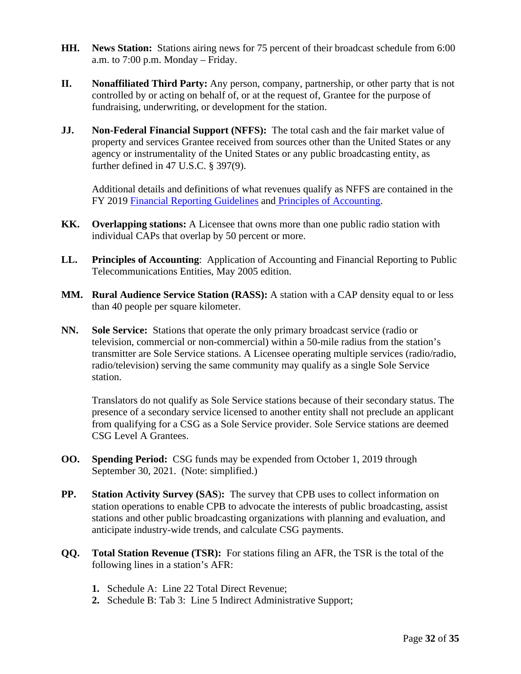- **HH. News Station:** Stations airing news for 75 percent of their broadcast schedule from 6:00 a.m. to 7:00 p.m. Monday – Friday.
- **II. Nonaffiliated Third Party:** Any person, company, partnership, or other party that is not controlled by or acting on behalf of, or at the request of, Grantee for the purpose of fundraising, underwriting, or development for the station.
- **JJ. Non-Federal Financial Support (NFFS):** The total cash and the fair market value of property and services Grantee received from sources other than the United States or any agency or instrumentality of the United States or any public broadcasting entity, as further defined in 47 U.S.C. § 397(9).

Additional details and definitions of what revenues qualify as NFFS are contained in the FY 2019 [Financial Reporting Guidelines](http://www.cpb.org/stations/frg/) and [Principles of Accounting.](http://www.cpb.org/stations/principles/principlesofaccounting050818.pdf)

- **KK. Overlapping stations:** A Licensee that owns more than one public radio station with individual CAPs that overlap by 50 percent or more.
- **LL. Principles of Accounting**: Application of Accounting and Financial Reporting to Public Telecommunications Entities, May 2005 edition.
- **MM. Rural Audience Service Station (RASS):** A station with a CAP density equal to or less than 40 people per square kilometer.
- **NN. Sole Service:** Stations that operate the only primary broadcast service (radio or television, commercial or non-commercial) within a 50-mile radius from the station's transmitter are Sole Service stations. A Licensee operating multiple services (radio/radio, radio/television) serving the same community may qualify as a single Sole Service station.

Translators do not qualify as Sole Service stations because of their secondary status. The presence of a secondary service licensed to another entity shall not preclude an applicant from qualifying for a CSG as a Sole Service provider. Sole Service stations are deemed CSG Level A Grantees.

- **OO. Spending Period:** CSG funds may be expended from October 1, 2019 through September 30, 2021. (Note: simplified.)
- **PP. Station Activity Survey (SAS**)**:** The survey that CPB uses to collect information on station operations to enable CPB to advocate the interests of public broadcasting, assist stations and other public broadcasting organizations with planning and evaluation, and anticipate industry-wide trends, and calculate CSG payments.
- **QQ. Total Station Revenue (TSR):** For stations filing an AFR, the TSR is the total of the following lines in a station's AFR:
	- **1.** Schedule A: Line 22 Total Direct Revenue;
	- **2.** Schedule B: Tab 3: Line 5 Indirect Administrative Support;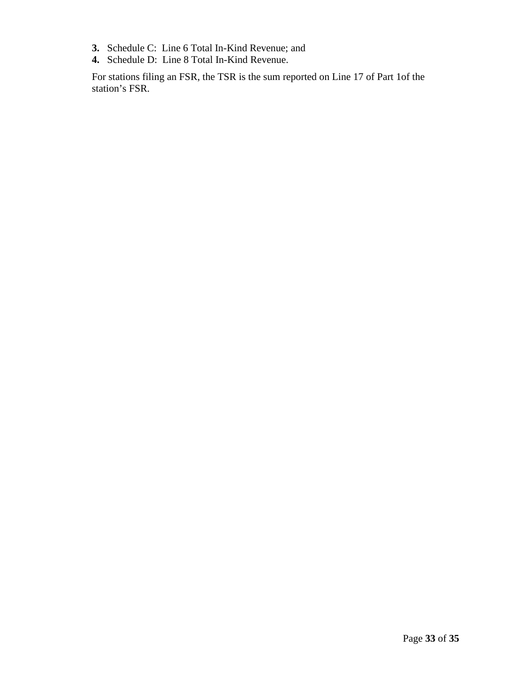- **3.** Schedule C: Line 6 Total In-Kind Revenue; and
- **4.** Schedule D: Line 8 Total In-Kind Revenue.

For stations filing an FSR, the TSR is the sum reported on Line 17 of Part 1of the station's FSR.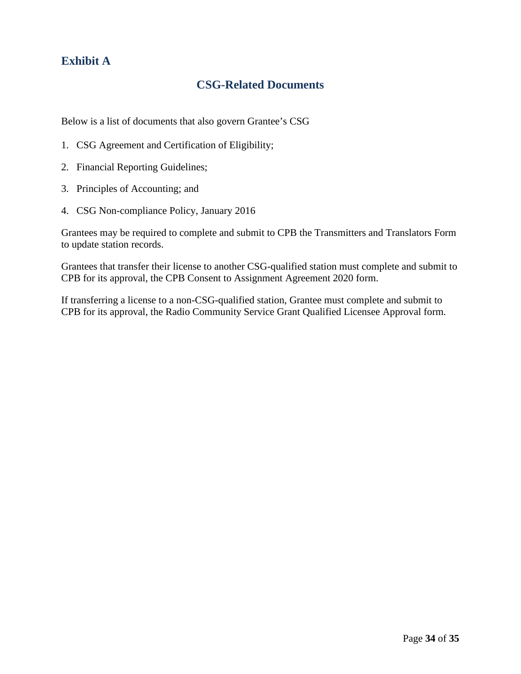# <span id="page-33-0"></span>**Exhibit A**

# **CSG-Related Documents**

Below is a list of documents that also govern Grantee's CSG

- 1. CSG Agreement and Certification of Eligibility;
- 2. Financial Reporting Guidelines;
- 3. Principles of Accounting; and
- 4. CSG Non-compliance Policy, January 2016

Grantees may be required to complete and submit to CPB the Transmitters and Translators Form to update station records.

Grantees that transfer their license to another CSG-qualified station must complete and submit to CPB for its approval, the CPB Consent to Assignment Agreement 2020 form.

If transferring a license to a non-CSG-qualified station, Grantee must complete and submit to CPB for its approval, the Radio Community Service Grant Qualified Licensee Approval form.